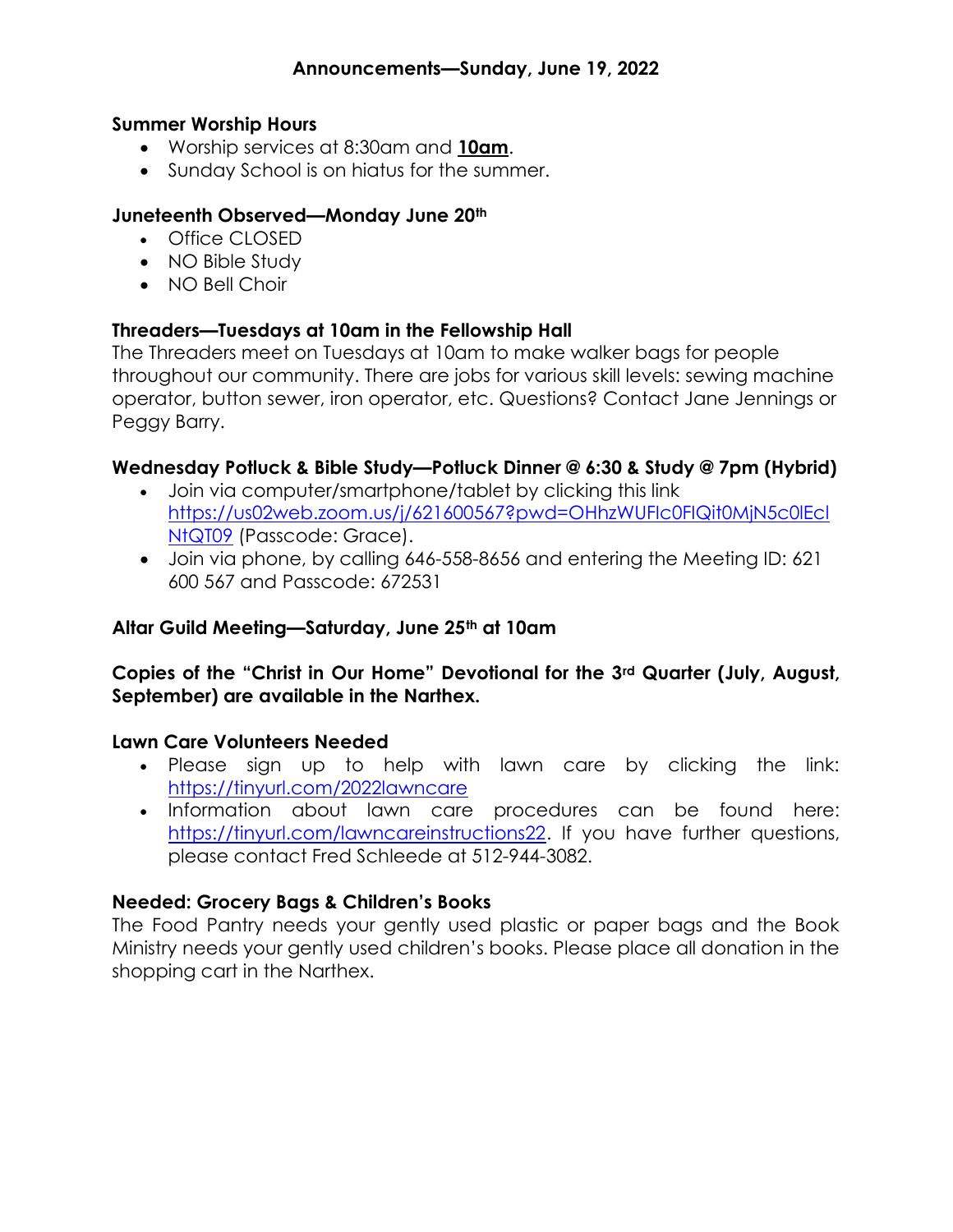#### Summer Worship Hours

- Worship services at 8:30am and 10am.
- Sunday School is on hiatus for the summer.

#### Juneteenth Observed—Monday June 20th

- Office CLOSED
- NO Bible Study
- NO Bell Choir

#### Threaders—Tuesdays at 10am in the Fellowship Hall

The Threaders meet on Tuesdays at 10am to make walker bags for people throughout our community. There are jobs for various skill levels: sewing machine operator, button sewer, iron operator, etc. Questions? Contact Jane Jennings or Peggy Barry.

## Wednesday Potluck & Bible Study—Potluck Dinner @ 6:30 & Study @ 7pm (Hybrid)

- Join via computer/smartphone/tablet by clicking this link https://us02web.zoom.us/j/621600567?pwd=OHhzWUFIc0FIQit0MjN5c0lEcl NtQT09 (Passcode: Grace).
- Join via phone, by calling 646-558-8656 and entering the Meeting ID: 621 600 567 and Passcode: 672531

#### Altar Guild Meeting—Saturday, June 25th at 10am

## Copies of the "Christ in Our Home" Devotional for the 3rd Quarter (July, August, September) are available in the Narthex.

#### Lawn Care Volunteers Needed

- Please sign up to help with lawn care by clicking the link: https://tinyurl.com/2022lawncare
- Information about lawn care procedures can be found here: https://tinyurl.com/lawncareinstructions22. If you have further questions, please contact Fred Schleede at 512-944-3082.

## Needed: Grocery Bags & Children's Books

The Food Pantry needs your gently used plastic or paper bags and the Book Ministry needs your gently used children's books. Please place all donation in the shopping cart in the Narthex.